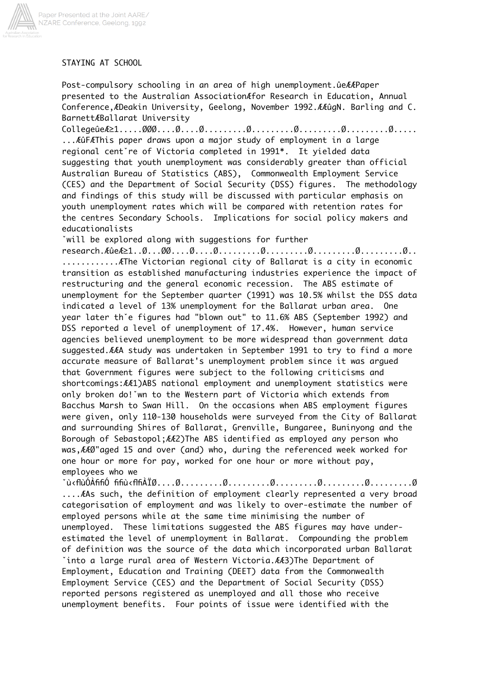

## STAYING AT SCHOOL

Post-compulsory schooling in an area of high unemployment. ue EEP aper presented to the Australian Association for Research in Education, Annual Conference, ÆDeakin University, Geelong, November 1992. ÆÆûgN. Barling and C. BarnettABallarat University

... EûFÆThis paper draws upon a major study of employment in a large regional cent re of Victoria completed in 1991\*. It yielded data suggesting that youth unemployment was considerably greater than official Australian Bureau of Statistics (ABS), Commonwealth Employment Service (CES) and the Department of Social Security (DSS) figures. The methodology and findings of this study will be discussed with particular emphasis on youth unemployment rates which will be compared with retention rates for the centres Secondary Schools. Implications for social policy makers and educationalists

"will be explored along with suggestions for further

 $research.\mathcal{A}\hat{u}e\mathcal{A}\geq1...\emptyset...\emptyset...\emptyset...\emptyset...\emptyset...\emptyset...\dots...\emptyset...\dots...\emptyset...\dots...\emptyset.........$ ............. AThe Victorian regional city of Ballarat is a city in economic transition as established manufacturing industries experience the impact of restructuring and the general economic recession. The ABS estimate of unemployment for the September quarter (1991) was 10.5% whilst the DSS data indicated a level of 13% unemployment for the Ballarat urban area. 0<sub>ne</sub> year later th'e figures had "blown out" to 11.6% ABS (September 1992) and DSS reported a level of unemployment of 17.4%. However, human service agencies believed unemployment to be more widespread than government data suggested. EEA study was undertaken in September 1991 to try to find a more accurate measure of Ballarat's unemployment problem since it was argued that Government figures were subject to the following criticisms and shortcomings: AA1)ABS national employment and unemployment statistics were only broken do! wn to the Western part of Victoria which extends from Bacchus Marsh to Swan Hill. On the occasions when ABS employment figures were given, only 110-130 households were surveyed from the City of Ballarat and surrounding Shires of Ballarat, Grenville, Bungaree, Buninyong and the Borough of Sebastopol; AA2) The ABS identified as employed any person who was, AA0"aged 15 and over (and) who, during the referenced week worked for one hour or more for pay, worked for one hour or more without pay, emplovees who we

.... AAs such, the definition of employment clearly represented a very broad categorisation of employment and was likely to over-estimate the number of employed persons while at the same time minimising the number of unemployed. These limitations suggested the ABS figures may have underestimated the level of unemployment in Ballarat. Compounding the problem of definition was the source of the data which incorporated urban Ballarat into a large rural area of Western Victoria. EE3) The Department of Employment, Education and Training (DEET) data from the Commonwealth Employment Service (CES) and the Department of Social Security (DSS) reported persons registered as unemployed and all those who receive unemployment benefits. Four points of issue were identified with the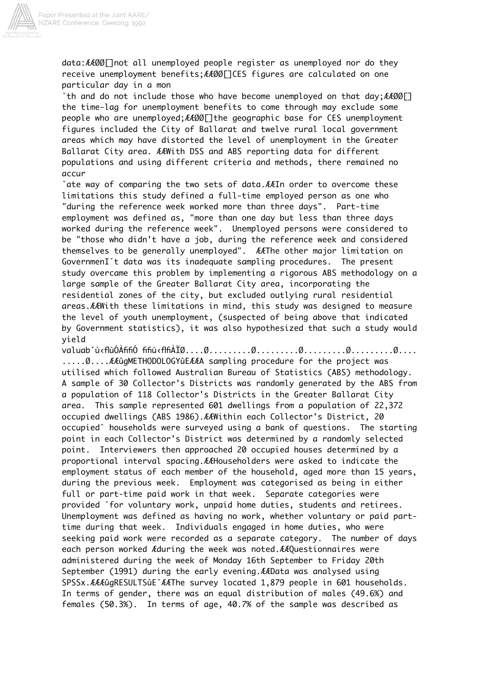

data: AAØØ[]not all unemployed people register as unemployed nor do they receive unemployment benefits; AA00 [] CES figures are calculated on one particular day in a mon

\*th and do not include those who have become unemployed on that day; AAØØI] the time-lag for unemployment benefits to come through may exclude some people who are unemployed; AA00[]the geographic base for CES unemployment figures included the City of Ballarat and twelve rural local government areas which may have distorted the level of unemployment in the Greater Ballarat City area. AAWith DSS and ABS reporting data for different populations and using different criteria and methods, there remained no accur

\*ate way of comparing the two sets of data. AAIn order to overcome these limitations this study defined a full-time employed person as one who "during the reference week worked more than three days". Part-time employment was defined as, "more than one day but less than three days worked during the reference week". Unemployed persons were considered to be "those who didn't have a job, during the reference week and considered themselves to be generally unemployed". AAThe other major limitation on GovernmenI't data was its inadequate sampling procedures. The present study overcame this problem by implementing a rigorous ABS methodology on a large sample of the Greater Ballarat City area, incorporating the residential zones of the city, but excluded outlying rural residential areas. EAWith these limitations in mind, this study was designed to measure the level of youth unemployment, (suspected of being above that indicated by Government statistics), it was also hypothesized that such a study would yield

...... 0.... A A ûgMETHODOLOGY û E A A sampling procedure for the project was utilised which followed Australian Bureau of Statistics (ABS) methodology. A sample of 30 Collector's Districts was randomly generated by the ABS from a population of 118 Collector's Districts in the Greater Ballarat City This sample represented 601 dwellings from a population of 22,372 area. occupied dwellings (ABS 1986). AAWithin each Collector's District, 20 occupied nouseholds were surveyed using a bank of questions. The starting point in each Collector's District was determined by a randomly selected Interviewers then approached 20 occupied houses determined by a point. proportional interval spacing. AAHouseholders were asked to indicate the employment status of each member of the household, aged more than 15 years, during the previous week. Employment was categorised as being in either full or part-time paid work in that week. Separate categories were provided 'for voluntary work, unpaid home duties, students and retirees. Unemployment was defined as having no work, whether voluntary or paid parttime during that week. Individuals engaged in home duties, who were seeking paid work were recorded as a separate category. The number of days each person worked Aduring the week was noted. AAQuestionnaires were administered during the week of Monday 16th September to Friday 20th September (1991) during the early evening. AAData was analysed using SPSSx. ÆÆÆûgRESULTSûE `ÆÆThe survey located 1,879 people in 601 households. In terms of gender, there was an equal distribution of males (49.6%) and females (50.3%). In terms of age, 40.7% of the sample was described as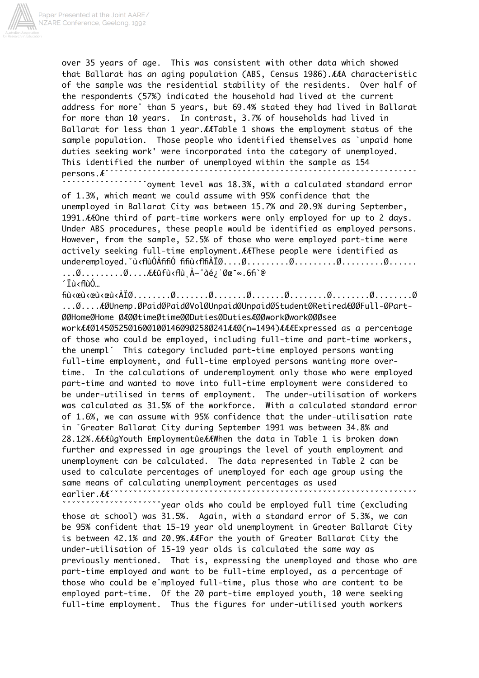

over 35 years of age. This was consistent with other data which showed that Ballarat has an aging population (ABS, Census 1986). AAA characteristic of the sample was the residential stability of the residents. Over half of the respondents (57%) indicated the household had lived at the current address for more' than 5 years, but 69.4% stated they had lived in Ballarat for more than 10 years. In contrast, 3.7% of households had lived in Ballarat for less than 1 year. AATable 1 shows the employment status of the sample population. Those people who identified themselves as `unpaid home duties seeking work' were incorporated into the category of unemployed. This identified the number of unemployed within the sample as 154 persons.A<sup>\*\*\*\*\*\*</sup>

'oyment level was 18.3%, with a calculated standard error of 1.3%, which meant we could assume with 95% confidence that the unemployed in Ballarat City was between 15.7% and 20.9% during September, 1991. AAOne third of part-time workers were only employed for up to 2 days. Under ABS procedures, these people would be identified as employed persons. However, from the sample, 52.5% of those who were employed part-time were actively seeking full-time employment. AAThese people were identified as  $\ldots \emptyset \ldots \ldots \ldots \emptyset \ldots$ . ELED fust the  $A-$  and  $\mathcal{A}-$  and  $\mathcal{B}-$  and  $\mathcal{B}-$  and  $\mathcal{B}-$ 

´Ïù<flùÓ...

... Ø.... ÆØUnemp.ØPaidØPaidØVolØUnpaidØUnpaidØStudentØRetiredÆØØFull-ØPart-

workAA01450525016001001460902580241AA0(n=1494)AAAExpressed as a percentage of those who could be employed, including full-time and part-time workers, the unempl' This category included part-time employed persons wanting full-time employment, and full-time employed persons wanting more overtime. In the calculations of underemployment only those who were employed part-time and wanted to move into full-time employment were considered to be under-utilised in terms of employment. The under-utilisation of workers was calculated as 31.5% of the workforce. With a calculated standard error of 1.6%, we can assume with 95% confidence that the under-utilisation rate in 'Greater Ballarat City during September 1991 was between 34.8% and 28.12%. ÆÆÆûqYouth EmploymentûeÆÆWhen the data in Table 1 is broken down further and expressed in age groupings the level of youth employment and unemployment can be calculated. The data represented in Table 2 can be used to calculate percentages of unemployed for each age group using the same means of calculating unemployment percentages as used earlier.AA<sup>\*</sup>

year olds who could be employed full time (excluding` those at school) was 31.5%. Again, with a standard error of 5.3%, we can be 95% confident that 15-19 year old unemployment in Greater Ballarat City is between 42.1% and 20.9%. AAFor the youth of Greater Ballarat City the under-utilisation of 15-19 year olds is calculated the same way as previously mentioned. That is, expressing the unemployed and those who are part-time employed and want to be full-time employed, as a percentage of those who could be e'mployed full-time, plus those who are content to be employed part-time. Of the 20 part-time employed youth, 10 were seeking full-time employment. Thus the figures for under-utilised youth workers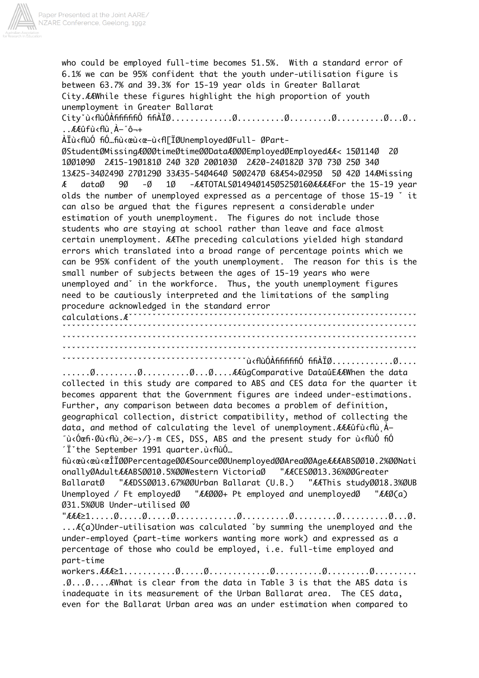

who could be employed full-time becomes 51.5%. With a standard error of 6.1% we can be 95% confident that the youth under-utilisation figure is between 63.7% and 39.3% for 15-19 year olds in Greater Ballarat City.ÆÆWhile these figures highlight the high proportion of youth unemployment in Greater Ballarat Cityˇù‹flùÓÀfififififiÓ fifiÀÏØ.............Ø..........Ø.........Ø..........Ø...Ø.. ..ÆÆûfù‹flù˛À–˝ô¬+ ÀÏù‹flùÓ fiÓ…fiù‹œù‹œ–ù‹fl[ÏØUnemployedØFull- ØPart-ØStudentØMissingÆØØØtimeØtimeØØDataÆØØØEmployedØEmployedÆÆ< 15Ø114Ø 2Ø 1ØØ109Ø 2Æ15-19Ø181Ø 24Ø 32Ø 20Ø103Ø 2Æ20-24Ø182Ø 37Ø 73Ø 25Ø 34Ø 13Æ25-34Ø249Ø 27Ø129Ø 33Æ35-54Ø464Ø 50Ø247Ø 68Æ54>Ø295Ø 5Ø 42Ø 14ÆMissing Æ dataØ 9Ø -Ø 1Ø -ÆÆTOTALSØ1494Ø145Ø525Ø160ÆÆÆÆFor the 15-19 year olds the number of unemployed expressed as a percentage of those 15-19 ˇ it can also be argued that the figures represent a considerable under estimation of youth unemployment. The figures do not include those students who are staying at school rather than leave and face almost certain unemployment. ÆÆThe preceding calculations yielded high standard errors which translated into a broad range of percentage points which we can be 95% confident of the youth unemployment. The reason for this is the small number of subjects between the ages of 15-19 years who were unemployed andˇ in the workforce. Thus, the youth unemployment figures need to be cautiously interpreted and the limitations of the sampling procedure acknowledged in the standard error calculations.Æˇˇˇˇˇˇˇˇˇˇˇˇˇˇˇˇˇˇˇˇˇˇˇˇˇˇˇˇˇˇˇˇˇˇˇˇˇˇˇˇˇˇˇˇˇˇˇˇˇˇˇˇˇˇˇˇˇˇˇˇˇ ˇˇˇˇˇˇˇˇˇˇˇˇˇˇˇˇˇˇˇˇˇˇˇˇˇˇˇˇˇˇˇˇˇˇˇˇˇˇˇˇˇˇˇˇˇˇˇˇˇˇˇˇˇˇˇˇˇˇˇˇˇˇˇˇˇˇˇˇˇˇˇˇˇˇˇ ˇˇˇˇˇˇˇˇˇˇˇˇˇˇˇˇˇˇˇˇˇˇˇˇˇˇˇˇˇˇˇˇˇˇˇˇˇˇˇˇˇˇˇˇˇˇˇˇˇˇˇˇˇˇˇˇˇˇˇˇˇˇˇˇˇˇˇˇˇˇˇˇˇˇˇ ˇˇˇˇˇˇˇˇˇˇˇˇˇˇˇˇˇˇˇˇˇˇˇˇˇˇˇˇˇˇˇˇˇˇˇˇˇˇˇˇˇˇˇˇˇˇˇˇˇˇˇˇˇˇˇˇˇˇˇˇˇˇˇˇˇˇˇˇˇˇˇˇˇˇˇ ˇˇˇˇˇˇˇˇˇˇˇˇˇˇˇˇˇˇˇˇˇˇˇˇˇˇˇˇˇˇˇˇˇˇˇˇˇˇˇù‹flùÓÀfififififiÓ fifiÀÏØ.............Ø.... ......Ø.........Ø..........Ø...Ø....ÆÆûgComparative DataûEÆÆWhen the data collected in this study are compared to ABS and CES data for the quarter it becomes apparent that the Government figures are indeed under-estimations. Further, any comparison between data becomes a problem of definition, geographical collection, district compatibility, method of collecting the data, and method of calculating the level of unemployment.ÆÆÆûfù‹flù˛À– ˝ù‹Óœfi·Øù‹flù˛∂€–›/}·m CES, DSS, ABS and the present study for ù‹flùÓ fiÓ  $\tilde{T}$ the September 1991 quarter.ù $\epsilon$ flùÓ… fiù‹œù‹œù‹œÎÏØØPercentageØØÆSourceØØUnemployedØØAreaØØAgeÆÆÆABSØØ10.2%ØØNati onallyØAdultÆÆABSØØ10.5%ØØWestern VictoriaØ "ÆÆCESØØ13.36%ØØGreater BallaratØ "ÆÆDSSØØ13.67%ØØUrban Ballarat (U.B.) "ÆÆThis studyØØ18.3%ØUB Unemployed / Ft employedØ "ÆÆØØØ+ Pt employed and unemployedØ "ÆÆØ(a) Ø31.5%ØUB Under-utilised ØØ  $"AEA21. \ldots . \emptyset . \ldots . \emptyset . \ldots . \emptyset . \ldots . \ldots . \emptyset . \ldots . \emptyset . \ldots . \emptyset . \ldots . \emptyset . \ldots . \emptyset . \ldots . \emptyset . \ldots . \emptyset .$ ...Æ(a)Under-utilisation was calculated ˇby summing the unemployed and the under-employed (part-time workers wanting more work) and expressed as a percentage of those who could be employed, i.e. full-time employed and part-time workers. $\text{\emph{E4E}}\geq 1, \ldots, 0, \ldots, \emptyset, \ldots, 0, \ldots, 0, \ldots, \emptyset, \ldots, \ldots, \emptyset, \ldots, \ldots, 0, \ldots, \ldots, \ldots$ .Ø...Ø....ÆWhat is clear from the data in Table 3 is that the ABS data is inadequate in its measurement of the Urban Ballarat area. The CES data, even for the Ballarat Urban area was an under estimation when compared to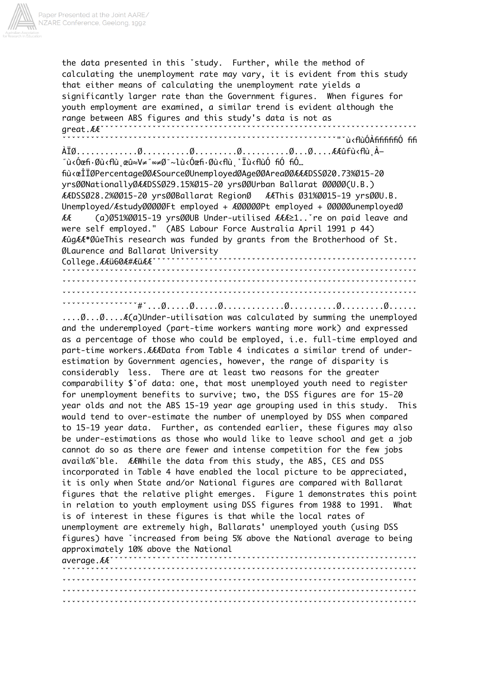

the data presented in this 'study. Further, while the method of calculating the unemployment rate may vary, it is evident from this study that either means of calculating the unemployment rate yields a significantly larger rate than the Government figures. When figures for youth employment are examined, a similar trend is evident although the range between ABS figures and this study's data is not as areat.AA<sup>\*</sup> ″ù<Óœfi•Øù‹flùˌœû≈V≠″∞≠د∼lù‹Óœfi•Øù‹flùˌ˚Ïù‹flùÓ fiÓ fiÓ… fiù<œÎÏØPercentageØØÆSourceØUnemployedØAgeØØAreaØØÆÆDSSØ20.73%Ø15-20 yrsØØNationallyØÆÆDSSØ29.15%Ø15-20 yrsØØUrban Ballarat ØØØØØ(U.B.) ÆÆThis Ø31%ØØ15-19 yrsØØU.B. AADSS028.2%0015-20 yrs00Ballarat Region0 Unemployed/Astudy00000Ft employed + A00000Pt employed + 00000unemployed0  $\Lambda$ (a)Ø51%ØØ15-19 yrsØØUB Under-utilised ÆÆÆ≥1.. re on paid leave and were self employed." (ABS Labour Force Australia April 1991 p 44) ÆûgÆÆ\*ØûeThis research was funded by grants from the Brotherhood of St. ØLaurence and Ballarat University College.AAü60A#AüAA` \*\*\*\*\*\*\*\*\*\*\*\*\*\*\*\*\*\*\*\*\*\*\*\*\*\*\*\*\*\*\*\*\* .... 0... 0... A(a)Under-utilisation was calculated by summing the unemployed and the underemployed (part-time workers wanting more work) and expressed as a percentage of those who could be employed, i.e. full-time employed and part-time workers. AAAData from Table 4 indicates a similar trend of underestimation by Government agencies, however, the range of disparity is considerably less. There are at least two reasons for the greater comparability \$ of data: one, that most unemployed youth need to reqister for unemployment benefits to survive; two, the DSS figures are for 15-20 year olds and not the ABS 15-19 year age grouping used in this study. This would tend to over-estimate the number of unemployed by DSS when compared to 15-19 year data. Further, as contended earlier, these figures may also be under-estimations as those who would like to leave school and get a job cannot do so as there are fewer and intense competition for the few jobs availa% ble. AAWhile the data from this study, the ABS, CES and DSS incorporated in Table 4 have enabled the local picture to be appreciated, it is only when State and/or National figures are compared with Ballarat figures that the relative plight emerges. Figure 1 demonstrates this point in relation to youth employment using DSS figures from 1988 to 1991. What is of interest in these figures is that while the local rates of unemployment are extremely high, Ballarats' unemployed youth (using DSS

figures) have 'increased from being 5% above the National average to being approximately 10% above the National avergge. ÆÆ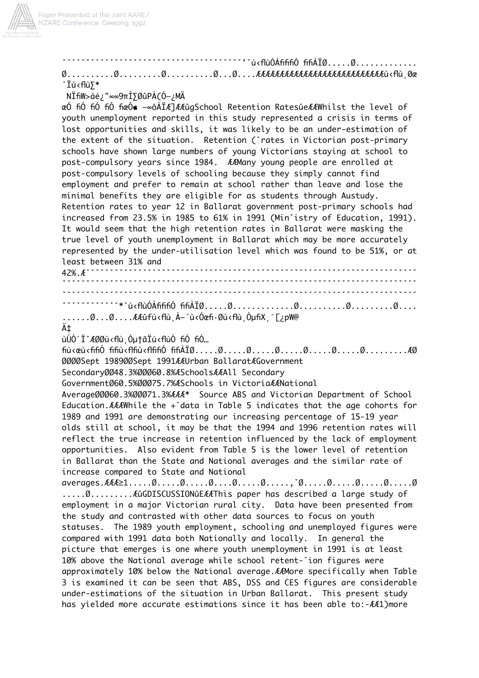

°Ϊù‹flù⋝\* NÏfiW>àé¿"∞∞9πÌ∑ØûPÀ(Ó-¿MÄ œÓ fiÓ fiÓ fiÓ fiœÓ∉ ⊸∞ôÀÏÆ]ÆÆûqSchool Retention RatesûeÆÆWhilst the level of youth unemployment reported in this study represented a crisis in terms of lost opportunities and skills, it was likely to be an under-estimation of the extent of the situation. Retention ('rates in Victorian post-primary schools have shown large numbers of young Victorians staying at school to post-compulsory years since 1984. AAMany young people are enrolled at post-compulsory levels of schooling because they simply cannot find employment and prefer to remain at school rather than leave and lose the minimal benefits they are eligible for as students through Austudy. Retention rates to year 12 in Ballarat government post-primary schools had increased from 23.5% in 1985 to 61% in 1991 (Min'istry of Education, 1991). It would seem that the high retention rates in Ballarat were masking the true level of youth unemployment in Ballarat which may be more accurately represented by the under-utilisation level which was found to be 51%, or at least between 31% and  $42\%$ .  $A^*$ ......Ø...Ø....ÆÆûfù‹flù̯À–˝ù‹Óœfi·Øù‹flù̯ÒµfiXˌ¯[¿pW@ ć ùÚÓ´Ï`ÆØØù<flù Òµ†ãÏù<flùÓ fiÓ fiÓ... 0000Sept 198900Sept 1991AAUrban BallaratAGovernment Secondary0048.3%00060.8%ASchoolsAAAll Secondary Government060.5%00075.7%ASchools in VictoriaAANational Average00060.3%00071.3% AA+ Source ABS and Victorian Department of School Education.  $AAAW$ hile the +'data in Table 5 indicates that the age cohorts for 1989 and 1991 are demonstrating our increasing percentage of 15-19 year olds still at school, it may be that the 1994 and 1996 retention rates will reflect the true increase in retention influenced by the lack of employment opportunities. Also evident from Table 5 is the lower level of retention in Ballarat than the State and National averages and the similar rate of increase compared to State and National  $averages.AFA \ge 1. \ldots .0. \ldots .0. \ldots .0. \ldots .0. \ldots .0. \ldots , \check{0}. \ldots .0. \ldots .0. \ldots .0. \ldots .0$ .....Ø...........AûGDISCUSSIONûEÆÆThis paper has described a large study of employment in a major Victorian rural city. Data have been presented from the study and contrasted with other data sources to focus on youth statuses. The 1989 youth employment, schooling and unemployed figures were compared with 1991 data both Nationally and locally. In general the picture that emerges is one where youth unemployment in 1991 is at least 10% above the National average while school retent- ion figures were approximately 10% below the National average. EAMore specifically when Table 3 is examined it can be seen that ABS, DSS and CES figures are considerable under-estimations of the situation in Urban Ballarat. This present study has yielded more accurate estimations since it has been able to:-AA1)more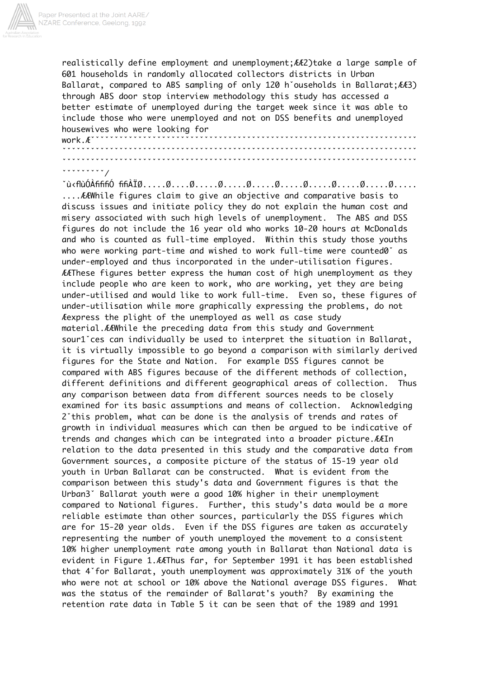

realistically define employment and unemployment; AA2) take a large sample of 601 households in randomly allocated collectors districts in Urban Ballarat, compared to ABS sampling of only 120 h'ouseholds in Ballarat; AA3) through ABS door stop interview methodology this study has accessed a better estimate of unemployed during the target week since it was able to include those who were unemployed and not on DSS benefits and unemployed housewives who were looking for work  $A^*$ **vvvvvvvvvvvv** 

## $"$

.... EEWhile figures claim to give an objective and comparative basis to discuss issues and initiate policy they do not explain the human cost and misery associated with such high levels of unemployment. The ABS and DSS figures do not include the 16 year old who works 10-20 hours at McDonalds and who is counted as full-time employed. Within this study those youths who were working part-time and wished to work full-time were counted0° as under-employed and thus incorporated in the under-utilisation figures. *AAThese figures better express the human cost of high unemployment as they* include people who are keen to work, who are working, yet they are being under-utilised and would like to work full-time. Even so, these figures of under-utilisation while more graphically expressing the problems, do not Aexpress the plight of the unemployed as well as case study material. AAWhile the preceding data from this study and Government sour1 ces can individually be used to interpret the situation in Ballarat, it is virtually impossible to go beyond a comparison with similarly derived figures for the State and Nation. For example DSS figures cannot be compared with ABS figures because of the different methods of collection, different definitions and different aeographical areas of collection. Thus any comparison between data from different sources needs to be closely examined for its basic assumptions and means of collection. Acknowledging 2'this problem, what can be done is the analysis of trends and rates of growth in individual measures which can then be argued to be indicative of trends and changes which can be integrated into a broader picture. AAIn relation to the data presented in this study and the comparative data from Government sources, a composite picture of the status of 15-19 year old vouth in Urban Ballarat can be constructed. What is evident from the comparison between this study's data and Government figures is that the Urban3<sup>°</sup> Ballarat youth were a good 10% higher in their unemployment compared to National figures. Further, this study's data would be a more reliable estimate than other sources, particularly the DSS figures which are for 15-20 year olds. Even if the DSS figures are taken as accurately representing the number of youth unemployed the movement to a consistent 10% higher unemployment rate among youth in Ballarat than National data is evident in Figure 1.AAThus far, for September 1991 it has been established that 4 for Ballarat, youth unemployment was approximately 31% of the youth who were not at school or 10% above the National average DSS figures. What was the status of the remainder of Ballarat's youth? By examining the retention rate data in Table 5 it can be seen that of the 1989 and 1991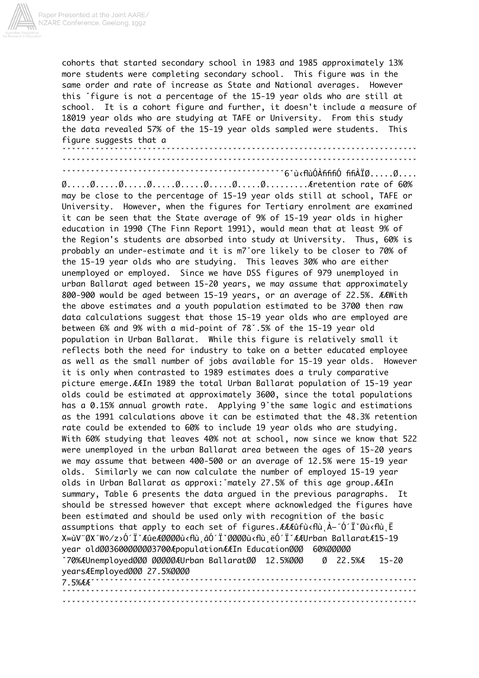

cohorts that started secondary school in 1983 and 1985 approximately 13% more students were completing secondary school. This figure was in the same order and rate of increase as State and National averages. However this 'figure is not a percentage of the 15-19 year olds who are still at school. It is a cohort figure and further, it doesn't include a measure of 18019 year olds who are studying at TAFE or University. From this study the data revealed 57% of the 15-19 year olds sampled were students. This figure suggests that a

may be close to the percentage of 15-19 year olds still at school, TAFE or University. However, when the figures for Tertiary enrolment are examined it can be seen that the State average of 9% of 15-19 year olds in higher education in 1990 (The Finn Report 1991), would mean that at least 9% of the Region's students are absorbed into study at University. Thus, 60% is probably an under-estimate and it is m7'ore likely to be closer to 70% of the 15-19 year olds who are studying. This leaves 30% who are either unemployed or employed. Since we have DSS figures of 979 unemployed in urban Ballarat aged between 15-20 years, we may assume that approximately 800-900 would be aged between 15-19 years, or an average of 22.5%. ÆÆWith the above estimates and a youth population estimated to be 3700 then raw data calculations suggest that those 15-19 year olds who are employed are between 6% and 9% with a mid-point of 78°.5% of the 15-19 year old population in Urban Ballarat. While this figure is relatively small it reflects both the need for industry to take on a better educated employee as well as the small number of jobs available for 15-19 year olds. However it is only when contrasted to 1989 estimates does a truly comparative picture emerge. AAIn 1989 the total Urban Ballarat population of 15-19 year olds could be estimated at approximately 3600, since the total populations has a 0.15% annual growth rate. Applying 9'the same logic and estimations as the 1991 calculations above it can be estimated that the 48.3% retention rate could be extended to 60% to include 19 year olds who are studying. With 60% studying that leaves 40% not at school, now since we know that 522 were unemployed in the urban Ballarat area between the ages of 15-20 years we may assume that between 400-500 or an average of 12.5% were 15-19 year olds. Similarly we can now calculate the number of emploved 15-19 year olds in Urban Ballarat as approxi: mately 27.5% of this age group. AAIn summary, Table 6 presents the data argued in the previous paragraphs. It should be stressed however that except where acknowledged the figures have been estimated and should be used only with recognition of the basic assumptions that apply to each set of figures. AAAûfù < flù, À-"Ó' Ï Øù < flù, Ë X∞ùV¨ØX˝W◊⁄z›Ó´ÏˇÆûeÆØØØØù‹flù âÓ´ÏˇØØØØù‹flù ëÓ´ÏˇÆÆUrban BallaratÆ15-19 year old003600000003700ApopulationAAIn Education000 60%00000 70%ÆUnemployedØØØ ØØØØØÆUrban BallaratØØ 12.5%ØØØ  $0$  22.5% $AE$  $15 - 20$ yearsAEmployed000 27.5%0000  $7.5%$ AA $\cdot$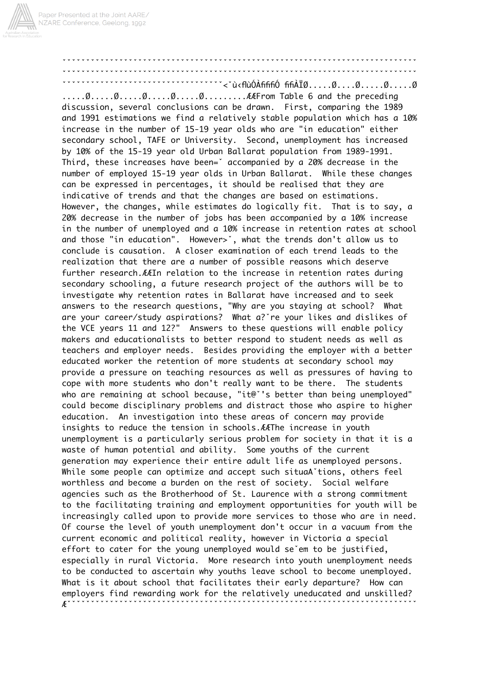## discussion, several conclusions can be drawn. First, comparing the 1989 and 1991 estimations we find a relatively stable population which has a 10% increase in the number of 15-19 year olds who are "in education" either secondary school, TAFE or University. Second, unemployment has increased by 10% of the 15-19 year old Urban Ballarat population from 1989-1991. Third, these increases have been=' accompanied by a 20% decrease in the number of employed 15-19 year olds in Urban Ballarat. While these changes can be expressed in percentages, it should be realised that they are indicative of trends and that the changes are based on estimations. However, the changes, while estimates do logically fit. That is to say, a 20% decrease in the number of jobs has been accompanied by a 10% increase in the number of unemployed and a 10% increase in retention rates at school and those "in education". However>', what the trends don't allow us to conclude is causation. A closer examination of each trend leads to the realization that there are a number of possible reasons which deserve further research. ELIn relation to the increase in retention rates during secondary schooling, a future research project of the authors will be to investigate why retention rates in Ballarat have increased and to seek answers to the research questions, "Why are you staying at school? What are your career/study aspirations? What a? re your likes and dislikes of the VCE years 11 and 12?" Answers to these questions will enable policy makers and educationalists to better respond to student needs as well as teachers and employer needs. Besides providing the employer with a better educated worker the retention of more students at secondary school may provide a pressure on teaching resources as well as pressures of having to cope with more students who don't really want to be there. The students who are remaining at school because, "it@"'s better than being unemployed" could become disciplinary problems and distract those who aspire to higher education. An investigation into these areas of concern may provide insights to reduce the tension in schools. AAThe increase in youth unemployment is a particularly serious problem for society in that it is a waste of human potential and ability. Some youths of the current generation may experience their entire adult life as unemployed persons. While some people can optimize and accept such situaA tions, others feel worthless and become a burden on the rest of society. Social welfare agencies such as the Brotherhood of St. Laurence with a strong commitment to the facilitating training and employment opportunities for youth will be increasingly called upon to provide more services to those who are in need. Of course the level of youth unemployment don't occur in a vacuum from the current economic and political reality, however in Victoria a special effort to cater for the young unemployed would se'em to be justified, especially in rural Victoria. More research into youth unemployment needs to be conducted to ascertain why youths leave school to become unemployed. What is it about school that facilitates their early departure? How can employers find rewarding work for the relatively uneducated and unskilled?  $\mathcal{L}^{\star}$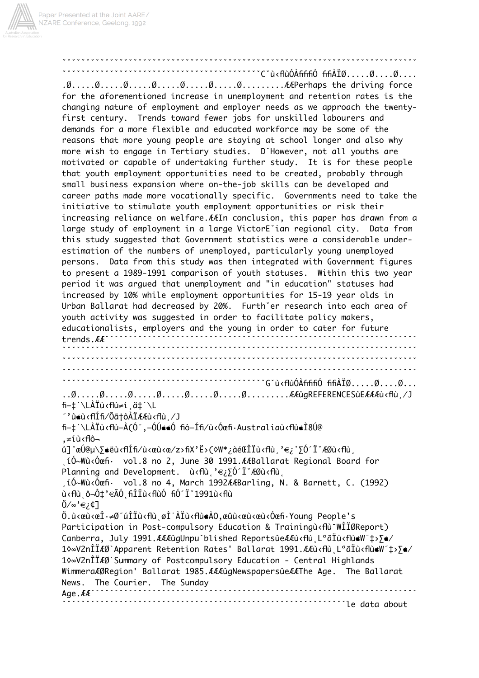

````````C`ù<flùÓÀfififiÓ fifiÀÏØ.....Ø....Ø.... for the aforementioned increase in unemployment and retention rates is the changing nature of employment and employer needs as we approach the twentyfirst century. Trends toward fewer jobs for unskilled labourers and demands for a more flexible and educated workforce may be some of the reasons that more young people are staying at school longer and also why more wish to engage in Tertiary studies. D'However, not all youths are motivated or capable of undertaking further study. It is for these people that youth employment opportunities need to be created, probably through small business expansion where on-the-job skills can be developed and career paths made more vocationally specific. Governments need to take the initiative to stimulate youth employment opportunities or risk their increasing reliance on welfare. AAIn conclusion, this paper has drawn from a large study of employment in a large VictorE'ian regional city. Data from this study suggested that Government statistics were a considerable underestimation of the numbers of unemployed, particularly young unemployed Data from this study was then integrated with Government figures persons. to present a 1989-1991 comparison of youth statuses. Within this two year period it was argued that unemployment and "in education" statuses had increased by 10% while employment opportunities for 15-19 year olds in Urban Ballarat had decreased by 20%. Furth'er research into each area of youth activity was suggested in order to facilitate policy makers, educationalists, employers and the young in order to cater for future trends.AA<sup>\*</sup> vvvvvvvvvvvvvvvvvvvvvvvvvvvvvvvvvvvvovor (G"ù<flùÓÀfififiÓ fifiÀÏØ.....Ø....Ø... fi—‡`\LÀÏù<flù≠í ä‡`\L ″'û∉ù‹flÍfi⁄Õã†ôÀÏÆÆù‹flù ,⁄J fi-t \LAÏù<flù-A(Ó",-ÓÚ««Ó fiô-Ífi/ù<Óœfi·Australiaù<flù«Ì8Ú@ ,≠íù<flô û]"œÚ@µ\∑∉ëù‹flÍfi⁄ù‹œù‹œ/z›fiX'Ë›(◊W\*¿àéŒÎÏù‹flùˌ'€¿˚∑Ó´ÏˇÆØù‹flù, ,íÓ∼Wù‹Óœfi· vol.8 no 2, June 30 1991.ÆÆBallarat Regional Board for Planning and Development.  $\dot{u}$   $\epsilon E$   $\delta'$   $\ddot{I}$   $\epsilon$   $\delta$   $\delta$   $\epsilon$   $\delta u$   $\epsilon$ .íÓ~Wù<Óœfi· vol.8 no 4, March 1992ÆÆBarling, N. & Barnett, C. (1992) ù<flù ô¬Ô‡'€ÃÓ fiÎÏù<flùÓ fiÓ´Ï`1991ù<flù  $0/\infty$ ' $\in$ ; $\downarrow$ ]  $0.\grave{\alpha}$ .ù‹œù‹œ $\hat{1}\cdot\neq0$ ″úÎÏù‹flùˌøÌˈÀÏù‹flù $\bullet$ À $0,\bullet$ Ϟ‹œù‹@ù‹Óœfi·Young People's Participation in Post-compulsory Education & Trainingù<flù<sup>-</sup>WÎÏØReport) Canberra, July 1991. AAAûgUnpu blished Reportsûe AAù cflù, L<sup>a</sup>ãÏù cflù M″‡>∑ 10∞V2nÎÎÆØ`Apparent Retention Rates' Ballarat 1991.ÆÆù‹flù,LªãÏù‹flù▲W″‡›∑▲⁄ 10∞V2nÎÏÆØ`Summary of Postcompulsory Education - Central Highlands WimmeraÆØRegion' Ballarat 1985. ÆÆÆûgNewspapersûeÆÆThe Age. The Ballarat News. The Courier. The Sunday Age. $AE^{\prime}$ wwwwwwwwwwwwwwwwwwwwwwale data about